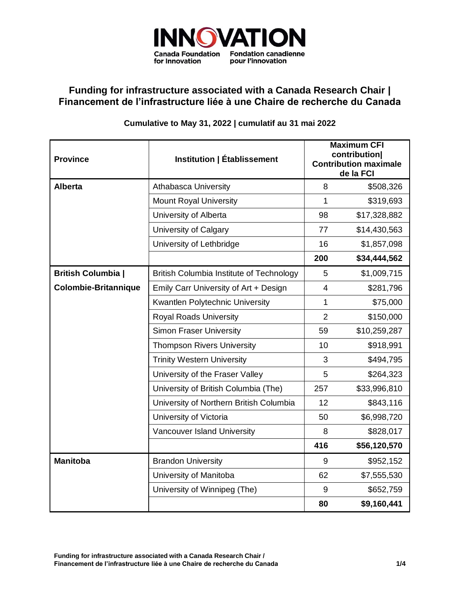

## **Funding for infrastructure associated with a Canada Research Chair | Financement de l'infrastructure liée à une Chaire de recherche du Canada**

## **Cumulative to May 31, 2022 | cumulatif au 31 mai 2022**

| <b>Province</b>             | Institution   Établissement                     | <b>Maximum CFI</b><br>contribution)<br><b>Contribution maximale</b><br>de la FCI |              |
|-----------------------------|-------------------------------------------------|----------------------------------------------------------------------------------|--------------|
| <b>Alberta</b>              | <b>Athabasca University</b>                     | 8                                                                                | \$508,326    |
|                             | <b>Mount Royal University</b>                   | 1                                                                                | \$319,693    |
|                             | University of Alberta                           | 98                                                                               | \$17,328,882 |
|                             | University of Calgary                           | 77                                                                               | \$14,430,563 |
|                             | University of Lethbridge                        | 16                                                                               | \$1,857,098  |
|                             |                                                 | 200                                                                              | \$34,444,562 |
| <b>British Columbia</b>     | <b>British Columbia Institute of Technology</b> | 5                                                                                | \$1,009,715  |
| <b>Colombie-Britannique</b> | Emily Carr University of Art + Design           | $\overline{4}$                                                                   | \$281,796    |
|                             | Kwantlen Polytechnic University                 | 1                                                                                | \$75,000     |
|                             | <b>Royal Roads University</b>                   | $\overline{2}$                                                                   | \$150,000    |
|                             | <b>Simon Fraser University</b>                  | 59                                                                               | \$10,259,287 |
|                             | <b>Thompson Rivers University</b>               | 10                                                                               | \$918,991    |
|                             | <b>Trinity Western University</b>               | 3                                                                                | \$494,795    |
|                             | University of the Fraser Valley                 | 5                                                                                | \$264,323    |
|                             | University of British Columbia (The)            | 257                                                                              | \$33,996,810 |
|                             | University of Northern British Columbia         | 12                                                                               | \$843,116    |
|                             | University of Victoria                          | 50                                                                               | \$6,998,720  |
|                             | Vancouver Island University                     | 8                                                                                | \$828,017    |
|                             |                                                 | 416                                                                              | \$56,120,570 |
| <b>Manitoba</b>             | <b>Brandon University</b>                       | 9                                                                                | \$952,152    |
|                             | University of Manitoba                          | 62                                                                               | \$7,555,530  |
|                             | University of Winnipeg (The)                    | 9                                                                                | \$652,759    |
|                             |                                                 | 80                                                                               | \$9,160,441  |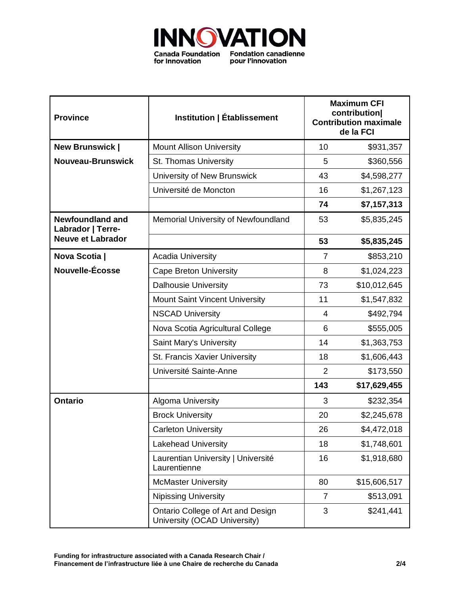

| <b>Province</b>                              | Institution   Établissement                                       | <b>Maximum CFI</b><br>contribution)<br><b>Contribution maximale</b><br>de la FCI |              |
|----------------------------------------------|-------------------------------------------------------------------|----------------------------------------------------------------------------------|--------------|
| <b>New Brunswick  </b>                       | <b>Mount Allison University</b>                                   | 10                                                                               | \$931,357    |
| Nouveau-Brunswick                            | St. Thomas University                                             | 5                                                                                | \$360,556    |
|                                              | University of New Brunswick                                       | 43                                                                               | \$4,598,277  |
|                                              | Université de Moncton                                             | 16                                                                               | \$1,267,123  |
|                                              |                                                                   | 74                                                                               | \$7,157,313  |
| <b>Newfoundland and</b><br>Labrador   Terre- | Memorial University of Newfoundland                               | 53                                                                               | \$5,835,245  |
| <b>Neuve et Labrador</b>                     |                                                                   | 53                                                                               | \$5,835,245  |
| Nova Scotia                                  | <b>Acadia University</b>                                          | $\overline{7}$                                                                   | \$853,210    |
| Nouvelle-Écosse                              | <b>Cape Breton University</b>                                     | 8                                                                                | \$1,024,223  |
|                                              | <b>Dalhousie University</b>                                       | 73                                                                               | \$10,012,645 |
|                                              | <b>Mount Saint Vincent University</b>                             | 11                                                                               | \$1,547,832  |
|                                              | <b>NSCAD University</b>                                           | $\overline{4}$                                                                   | \$492,794    |
|                                              | Nova Scotia Agricultural College                                  | 6                                                                                | \$555,005    |
|                                              | Saint Mary's University                                           | 14                                                                               | \$1,363,753  |
|                                              | St. Francis Xavier University                                     | 18                                                                               | \$1,606,443  |
|                                              | Université Sainte-Anne                                            | $\overline{2}$                                                                   | \$173,550    |
|                                              |                                                                   | 143                                                                              | \$17,629,455 |
| <b>Ontario</b>                               | Algoma University                                                 | 3                                                                                | \$232,354    |
|                                              | <b>Brock University</b>                                           | 20                                                                               | \$2,245,678  |
|                                              | <b>Carleton University</b>                                        | 26                                                                               | \$4,472,018  |
|                                              | <b>Lakehead University</b>                                        | 18                                                                               | \$1,748,601  |
|                                              | Laurentian University   Université<br>Laurentienne                | 16                                                                               | \$1,918,680  |
|                                              | <b>McMaster University</b>                                        | 80                                                                               | \$15,606,517 |
|                                              | <b>Nipissing University</b>                                       | 7                                                                                | \$513,091    |
|                                              | Ontario College of Art and Design<br>University (OCAD University) | 3                                                                                | \$241,441    |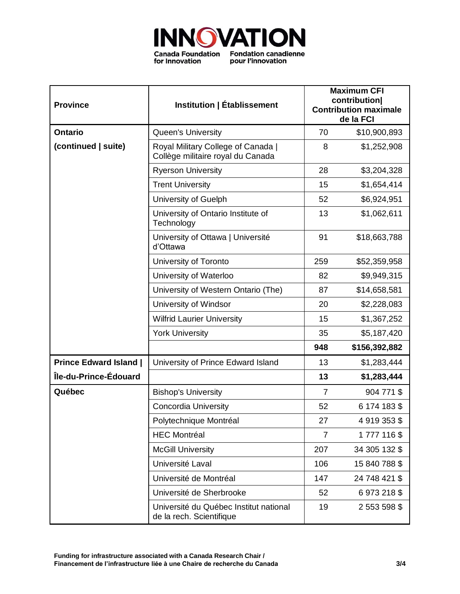

| <b>Province</b>               | Institution   Établissement                                             | <b>Maximum CFI</b><br>contribution <br><b>Contribution maximale</b><br>de la FCI |               |
|-------------------------------|-------------------------------------------------------------------------|----------------------------------------------------------------------------------|---------------|
| <b>Ontario</b>                | <b>Queen's University</b>                                               | 70                                                                               | \$10,900,893  |
| (continued   suite)           | Royal Military College of Canada  <br>Collège militaire royal du Canada | 8                                                                                | \$1,252,908   |
|                               | <b>Ryerson University</b>                                               | 28                                                                               | \$3,204,328   |
|                               | <b>Trent University</b>                                                 | 15                                                                               | \$1,654,414   |
|                               | University of Guelph                                                    | 52                                                                               | \$6,924,951   |
|                               | University of Ontario Institute of<br>Technology                        | 13                                                                               | \$1,062,611   |
|                               | University of Ottawa   Université<br>d'Ottawa                           | 91                                                                               | \$18,663,788  |
|                               | University of Toronto                                                   | 259                                                                              | \$52,359,958  |
|                               | University of Waterloo                                                  | 82                                                                               | \$9,949,315   |
|                               | University of Western Ontario (The)                                     | 87                                                                               | \$14,658,581  |
|                               | University of Windsor                                                   | 20                                                                               | \$2,228,083   |
|                               | <b>Wilfrid Laurier University</b>                                       | 15                                                                               | \$1,367,252   |
|                               | <b>York University</b>                                                  | 35                                                                               | \$5,187,420   |
|                               |                                                                         | 948                                                                              | \$156,392,882 |
| <b>Prince Edward Island  </b> | University of Prince Edward Island                                      | 13                                                                               | \$1,283,444   |
| Île-du-Prince-Édouard         |                                                                         | 13                                                                               | \$1,283,444   |
| Québec                        | <b>Bishop's University</b>                                              | $\overline{7}$                                                                   | 904 771 \$    |
|                               | Concordia University                                                    | 52                                                                               | 6 174 183 \$  |
|                               | Polytechnique Montréal                                                  | 27                                                                               | 4 919 353 \$  |
|                               | <b>HEC Montréal</b>                                                     | $\overline{7}$                                                                   | 1777116\$     |
|                               | <b>McGill University</b>                                                | 207                                                                              | 34 305 132 \$ |
|                               | Université Laval                                                        | 106                                                                              | 15 840 788 \$ |
|                               | Université de Montréal                                                  | 147                                                                              | 24 748 421 \$ |
|                               | Université de Sherbrooke                                                | 52                                                                               | 6973218\$     |
|                               | Université du Québec Institut national<br>de la rech. Scientifique      | 19                                                                               | 2 553 598 \$  |